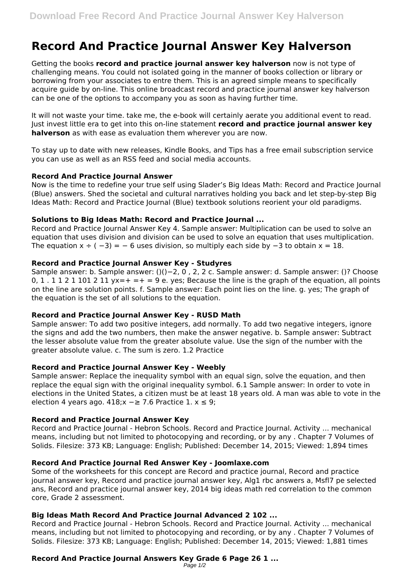# **Record And Practice Journal Answer Key Halverson**

Getting the books **record and practice journal answer key halverson** now is not type of challenging means. You could not isolated going in the manner of books collection or library or borrowing from your associates to entre them. This is an agreed simple means to specifically acquire guide by on-line. This online broadcast record and practice journal answer key halverson can be one of the options to accompany you as soon as having further time.

It will not waste your time. take me, the e-book will certainly aerate you additional event to read. Just invest little era to get into this on-line statement **record and practice journal answer key halverson** as with ease as evaluation them wherever you are now.

To stay up to date with new releases, Kindle Books, and Tips has a free email subscription service you can use as well as an RSS feed and social media accounts.

# **Record And Practice Journal Answer**

Now is the time to redefine your true self using Slader's Big Ideas Math: Record and Practice Journal (Blue) answers. Shed the societal and cultural narratives holding you back and let step-by-step Big Ideas Math: Record and Practice Journal (Blue) textbook solutions reorient your old paradigms.

# **Solutions to Big Ideas Math: Record and Practice Journal ...**

Record and Practice Journal Answer Key 4. Sample answer: Multiplication can be used to solve an equation that uses division and division can be used to solve an equation that uses multiplication. The equation  $x \div (-3) = -6$  uses division, so multiply each side by  $-3$  to obtain  $x = 18$ .

# **Record and Practice Journal Answer Key - Studyres**

Sample answer: b. Sample answer: ()()−2, 0 , 2, 2 c. Sample answer: d. Sample answer: ()? Choose 0, 1, 1 1 2 1 101 2 11  $yx=+ =+ = 9$  e, ves; Because the line is the graph of the equation, all points on the line are solution points. f. Sample answer: Each point lies on the line. g. yes; The graph of the equation is the set of all solutions to the equation.

# **Record and Practice Journal Answer Key - RUSD Math**

Sample answer: To add two positive integers, add normally. To add two negative integers, ignore the signs and add the two numbers, then make the answer negative. b. Sample answer: Subtract the lesser absolute value from the greater absolute value. Use the sign of the number with the greater absolute value. c. The sum is zero. 1.2 Practice

# **Record and Practice Journal Answer Key - Weebly**

Sample answer: Replace the inequality symbol with an equal sign, solve the equation, and then replace the equal sign with the original inequality symbol. 6.1 Sample answer: In order to vote in elections in the United States, a citizen must be at least 18 years old. A man was able to vote in the election 4 years ago.  $418$ ;x −≥ 7.6 Practice 1. x ≤ 9;

# **Record and Practice Journal Answer Key**

Record and Practice Journal - Hebron Schools. Record and Practice Journal. Activity ... mechanical means, including but not limited to photocopying and recording, or by any . Chapter 7 Volumes of Solids. Filesize: 373 KB; Language: English; Published: December 14, 2015; Viewed: 1,894 times

# **Record And Practice Journal Red Answer Key - Joomlaxe.com**

Some of the worksheets for this concept are Record and practice journal, Record and practice journal answer key, Record and practice journal answer key, Alg1 rbc answers a, Msfl7 pe selected ans, Record and practice journal answer key, 2014 big ideas math red correlation to the common core, Grade 2 assessment.

# **Big Ideas Math Record And Practice Journal Advanced 2 102 ...**

Record and Practice Journal - Hebron Schools. Record and Practice Journal. Activity ... mechanical means, including but not limited to photocopying and recording, or by any . Chapter 7 Volumes of Solids. Filesize: 373 KB; Language: English; Published: December 14, 2015; Viewed: 1,881 times

#### **Record And Practice Journal Answers Key Grade 6 Page 26 1 ...** Page 1/2